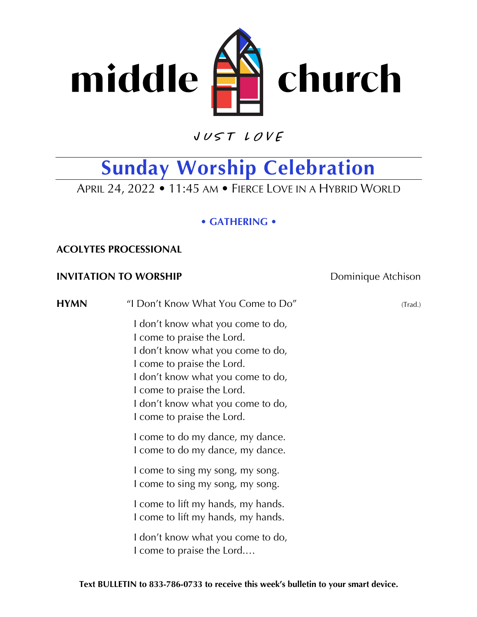

 $VUSTLOVE$ 

## **Sunday Worship Celebration**

APRIL 24, 2022 • 11:45 AM • FIERCE LOVE IN A HYBRID WORLD

### **• GATHERING •**

### **ACOLYTES PROCESSIONAL**

### **INVITATION TO WORSHIP** Dominique Atchison

**HYMN** "I Don't Know What You Come to Do" (Trad.) I don't know what you come to do, I come to praise the Lord. I don't know what you come to do, I come to praise the Lord. I don't know what you come to do, I come to praise the Lord. I don't know what you come to do, I come to praise the Lord. I come to do my dance, my dance. I come to do my dance, my dance. I come to sing my song, my song. I come to sing my song, my song. I come to lift my hands, my hands. I come to lift my hands, my hands. I don't know what you come to do, I come to praise the Lord.…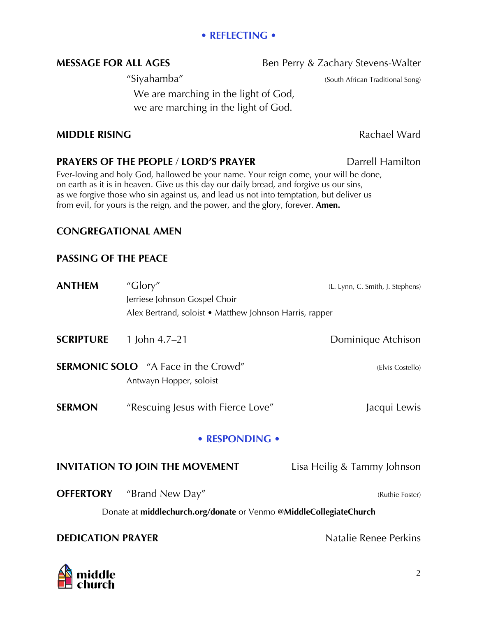### **• REFLECTING •**

## **MESSAGE FOR ALL AGES** Ben Perry & Zachary Stevens-Walter

"Siyahamba" (South African Traditional Song)

We are marching in the light of God, we are marching in the light of God.

### **MIDDLE RISING** Rachael Ward

### **PRAYERS OF THE PEOPLE / LORD'S PRAYER DATE:** Darrell Hamilton

Ever-loving and holy God, hallowed be your name. Your reign come, your will be done, on earth as it is in heaven. Give us this day our daily bread, and forgive us our sins, as we forgive those who sin against us, and lead us not into temptation, but deliver us from evil, for yours is the reign, and the power, and the glory, forever. **Amen.**

### **CONGREGATIONAL AMEN**

### **PASSING OF THE PEACE**

| <b>ANTHEM</b>                                                      | "Glory"                                                               | (L. Lynn, C. Smith, J. Stephens) |
|--------------------------------------------------------------------|-----------------------------------------------------------------------|----------------------------------|
|                                                                    | Jerriese Johnson Gospel Choir                                         |                                  |
|                                                                    | Alex Bertrand, soloist • Matthew Johnson Harris, rapper               |                                  |
| <b>SCRIPTURE</b>                                                   | 1 John $4.7-21$                                                       | Dominique Atchison               |
|                                                                    | <b>SERMONIC SOLO</b> "A Face in the Crowd"<br>Antwayn Hopper, soloist | (Elvis Costello)                 |
| <b>SERMON</b>                                                      | "Rescuing Jesus with Fierce Love"                                     | Jacqui Lewis                     |
| • RESPONDING •                                                     |                                                                       |                                  |
|                                                                    | <b>INVITATION TO JOIN THE MOVEMENT</b>                                | Lisa Heilig & Tammy Johnson      |
| <b>OFFERTORY</b>                                                   | "Brand New Day"                                                       | (Ruthie Foster)                  |
| Donate at middlechurch.org/donate or Venmo @MiddleCollegiateChurch |                                                                       |                                  |
| <b>DEDICATION PRAYER</b>                                           |                                                                       | Natalie Renee Perkins            |



### 2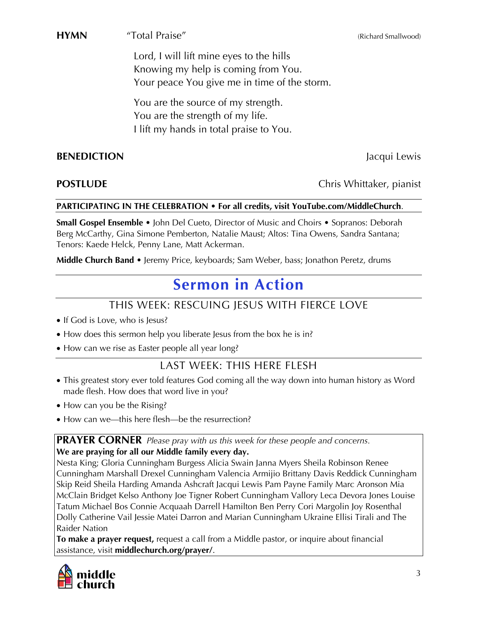**HYMN** "Total Praise" (Richard Smallwood) (Richard Smallwood)

Lord, I will lift mine eyes to the hills Knowing my help is coming from You. Your peace You give me in time of the storm.

You are the source of my strength. You are the strength of my life. I lift my hands in total praise to You.

### **BENEDICTION** Jacqui Lewis

### **POSTLUDE** Chris Whittaker, pianist

### **PARTICIPATING IN THE CELEBRATION • For all credits, visit YouTube.com/MiddleChurch**.

**Small Gospel Ensemble** • John Del Cueto, Director of Music and Choirs • Sopranos: Deborah Berg McCarthy, Gina Simone Pemberton, Natalie Maust; Altos: Tina Owens, Sandra Santana; Tenors: Kaede Helck, Penny Lane, Matt Ackerman.

**Middle Church Band** • Jeremy Price, keyboards; Sam Weber, bass; Jonathon Peretz, drums

## **Sermon in Action**

## THIS WEEK: RESCUING JESUS WITH FIERCE LOVE

- If God is Love, who is Jesus?
- How does this sermon help you liberate Jesus from the box he is in?
- How can we rise as Easter people all year long?

## LAST WEEK: THIS HERE FLESH

- This greatest story ever told features God coming all the way down into human history as Word made flesh. How does that word live in you?
- How can you be the Rising?
- How can we—this here flesh—be the resurrection?

### **PRAYER CORNER** *Please pray with us this week for these people and concerns.* **We are praying for all our Middle family every day.**

Nesta King; Gloria Cunningham Burgess Alicia Swain Janna Myers Sheila Robinson Renee [Cunningham Marshall Drexel Cunningham Valencia Armijio Brittany Davis Reddick Cunningham](https://www.middlechurch.org/prayer/)  Skip Reid Sheila Harding Amanda Ashcraft Jacqui Lewis Pam Payne Family Marc Aronson Mia McClain Bridget Kelso Anthony Joe Tigner Robert Cunningham Vallory Leca Devora Jones Louise Tatum Michael Bos Connie Acquaah Darrell Hamilton Ben Perry Cori Margolin Joy Rosenthal Dolly Catherine Vail Jessie Matei Darron and Marian Cunningham Ukraine Ellisi Tirali and The Raider Nation

**To make a prayer request,** request a call from a Middle pastor, or inquire about financial assistance, visit **middlechurch.org/prayer/**.



3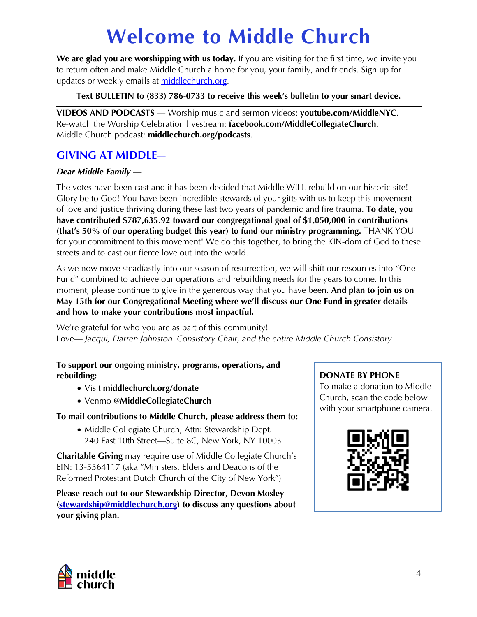# **[Welcome to Middle Church](https://www.middlechurch.org)**

**We are glad you are worshipping with us today.** If you are visiting for the first time, we invite you to return often and make Middle Church a home for you, your family, and friends. Sign up for updates or weekly emails at middlechurch.org.

**Text BULLETIN to (833) 786-0733 to receive this week's bulletin to your smart device.**

**VIDEOS AND PODCASTS** — Worship music and sermon videos: **youtube.com/MiddleNYC**. Re-watch the Worship Celebration livestream: **facebook.com/MiddleCollegiateChurch**. Middle Church podcast: **middlechurch.org/podcasts**.

### **GIVING AT MIDDLE**—

### *Dear Middle Family* —

The votes have been cast and it has been decided that Middle WILL rebuild on our historic site! Glory be to God! You have been incredible stewards of your gifts with us to keep this movement of love and justice thriving during these last two years of pandemic and fire trauma. **To date, you have contributed \$787,635.92 toward our congregational goal of \$1,050,000 in contributions (that's 50% of our operating budget this year) to fund our ministry programming.** THANK YOU for your commitment to this movement! We do this together, to bring the KIN-dom of God to these streets and to cast our fierce love out into the world.

As we now move steadfastly into our season of resurrection, we will shift our resources into "One Fund" combined to achieve our operations and rebuilding needs for the years to come. In this moment, please continue to give in the generous way that you have been. **And plan to join us on May 15th for our Congregational Meeting where we'll discuss our One Fund in greater details and how to make your contributions most impactful.**

We're grateful for who you are as part of this community! Love— *Jacqui, Darren Johnston–Consistory Chair, and the entire Middle Church Consistory*

### **[To support our ongoing ministry, programs, operations, and](https://www.middlechurch.org/donate/)  rebuilding:**

- Visit **middlechurch.org/donate**
- Venmo **@MiddleCollegiateChurch**

### **To mail contributions to Middle Church, please address them to:**

• Middle Collegiate Church, Attn: Stewardship Dept. 240 East 10th Street—Suite 8C, New York, NY 10003

**Charitable Giving** may require use of Middle Collegiate Church's EIN: 13-5564117 (aka "Ministers, Elders and Deacons of the Reformed Protestant Dutch Church of the City of New York")

**[Please reach out to our Stewardship Director, Devon Mosley](mailto:stewardship@middlechurch.org)  (stewardship@middlechurch.org) to discuss any questions about your giving plan.** 

### **DONATE BY PHONE**

To make a donation to Middle Church, scan the code below with your smartphone camera.